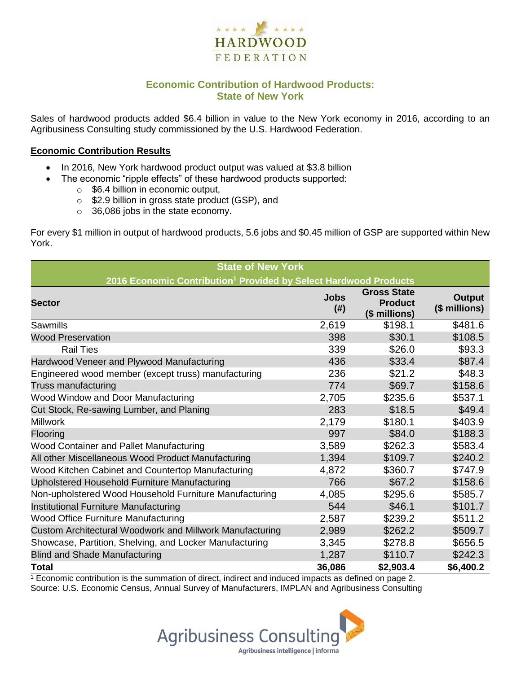

## **Economic Contribution of Hardwood Products: State of New York**

Sales of hardwood products added \$6.4 billion in value to the New York economy in 2016, according to an Agribusiness Consulting study commissioned by the U.S. Hardwood Federation.

#### **Economic Contribution Results**

- In 2016, New York hardwood product output was valued at \$3.8 billion
	- The economic "ripple effects" of these hardwood products supported:
		- $\circ$  \$6.4 billion in economic output,
		- o \$2.9 billion in gross state product (GSP), and
		- o 36,086 jobs in the state economy.

For every \$1 million in output of hardwood products, 5.6 jobs and \$0.45 million of GSP are supported within New York.

| <b>State of New York</b>                                                     |                     |                                                       |                                |  |  |  |  |
|------------------------------------------------------------------------------|---------------------|-------------------------------------------------------|--------------------------------|--|--|--|--|
| 2016 Economic Contribution <sup>1</sup> Provided by Select Hardwood Products |                     |                                                       |                                |  |  |  |  |
| <b>Sector</b>                                                                | <b>Jobs</b><br>(# ) | <b>Gross State</b><br><b>Product</b><br>(\$ millions) | <b>Output</b><br>(\$ millions) |  |  |  |  |
| Sawmills                                                                     | 2,619               | \$198.1                                               | \$481.6                        |  |  |  |  |
| <b>Wood Preservation</b>                                                     | 398                 | \$30.1                                                | \$108.5                        |  |  |  |  |
| <b>Rail Ties</b>                                                             | 339                 | \$26.0                                                | \$93.3                         |  |  |  |  |
| Hardwood Veneer and Plywood Manufacturing                                    | 436                 | \$33.4                                                | \$87.4                         |  |  |  |  |
| Engineered wood member (except truss) manufacturing                          | 236                 | \$21.2                                                | \$48.3                         |  |  |  |  |
| Truss manufacturing                                                          | 774                 | \$69.7                                                | \$158.6                        |  |  |  |  |
| Wood Window and Door Manufacturing                                           | 2,705               | \$235.6                                               | \$537.1                        |  |  |  |  |
| Cut Stock, Re-sawing Lumber, and Planing                                     | 283                 | \$18.5                                                | \$49.4                         |  |  |  |  |
| <b>Millwork</b>                                                              | 2,179               | \$180.1                                               | \$403.9                        |  |  |  |  |
| Flooring                                                                     | 997                 | \$84.0                                                | \$188.3                        |  |  |  |  |
| Wood Container and Pallet Manufacturing                                      | 3,589               | \$262.3                                               | \$583.4                        |  |  |  |  |
| All other Miscellaneous Wood Product Manufacturing                           | 1,394               | \$109.7                                               | \$240.2                        |  |  |  |  |
| Wood Kitchen Cabinet and Countertop Manufacturing                            | 4,872               | \$360.7                                               | \$747.9                        |  |  |  |  |
| Upholstered Household Furniture Manufacturing                                | 766                 | \$67.2                                                | \$158.6                        |  |  |  |  |
| Non-upholstered Wood Household Furniture Manufacturing                       | 4,085               | \$295.6                                               | \$585.7                        |  |  |  |  |
| Institutional Furniture Manufacturing                                        | 544                 | \$46.1                                                | \$101.7                        |  |  |  |  |
| <b>Wood Office Furniture Manufacturing</b>                                   | 2,587               | \$239.2                                               | \$511.2                        |  |  |  |  |
| Custom Architectural Woodwork and Millwork Manufacturing                     | 2,989               | \$262.2                                               | \$509.7                        |  |  |  |  |
| Showcase, Partition, Shelving, and Locker Manufacturing                      | 3,345               | \$278.8                                               | \$656.5                        |  |  |  |  |
| <b>Blind and Shade Manufacturing</b>                                         | 1,287               | \$110.7                                               | \$242.3                        |  |  |  |  |
| <b>Total</b>                                                                 | 36,086              | \$2,903.4                                             | \$6,400.2                      |  |  |  |  |

 $\frac{1}{1}$  Economic contribution is the summation of direct, indirect and induced impacts as defined on page 2. Source: U.S. Economic Census, Annual Survey of Manufacturers, IMPLAN and Agribusiness Consulting